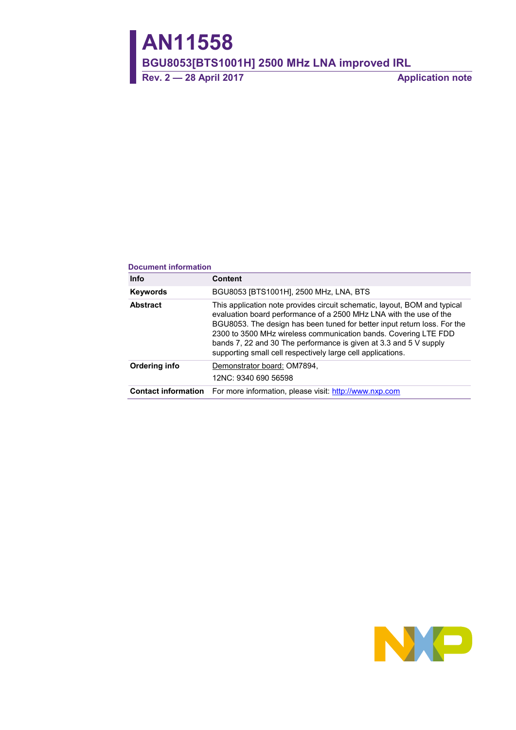# **AN11558**

**BGU8053[BTS1001H] 2500 MHz LNA improved IRL**

**Rev. 2 — 28 April 2017 Application note**

#### **Document information**

| <b>Info</b>     | <b>Content</b>                                                                                                                                                                                                                                                                                                                                                                                                                     |
|-----------------|------------------------------------------------------------------------------------------------------------------------------------------------------------------------------------------------------------------------------------------------------------------------------------------------------------------------------------------------------------------------------------------------------------------------------------|
| Keywords        | BGU8053 [BTS1001H], 2500 MHz, LNA, BTS                                                                                                                                                                                                                                                                                                                                                                                             |
| <b>Abstract</b> | This application note provides circuit schematic, layout, BOM and typical<br>evaluation board performance of a 2500 MHz LNA with the use of the<br>BGU8053. The design has been tuned for better input return loss. For the<br>2300 to 3500 MHz wireless communication bands. Covering LTE FDD<br>bands 7, 22 and 30 The performance is given at 3.3 and 5 V supply<br>supporting small cell respectively large cell applications. |
| Ordering info   | Demonstrator board: OM7894,<br>12NC: 9340 690 56598                                                                                                                                                                                                                                                                                                                                                                                |
|                 | <b>Contact information</b> For more information, please visit: http://www.nxp.com                                                                                                                                                                                                                                                                                                                                                  |

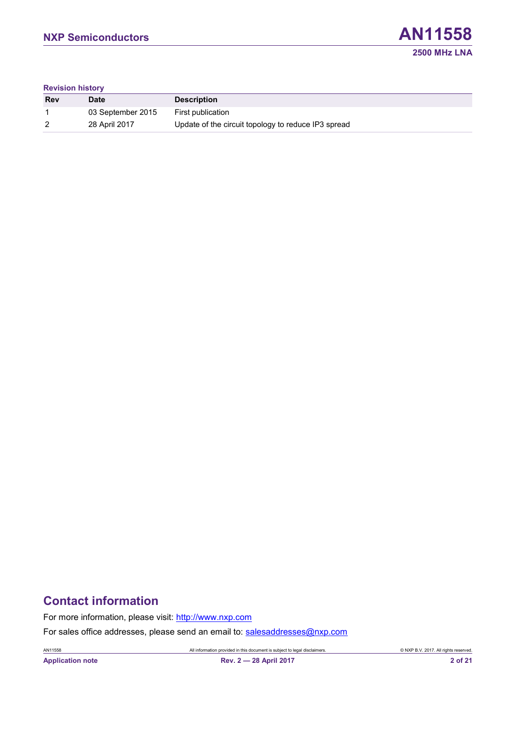

#### **Revision history**

| <b>Rev</b> | <b>Date</b>       | <b>Description</b>                                  |
|------------|-------------------|-----------------------------------------------------|
|            | 03 September 2015 | First publication                                   |
| 2          | 28 April 2017     | Update of the circuit topology to reduce IP3 spread |

# **Contact information**

For more information, please visit: [http://www.nxp.com](http://www.nxp.com/)

For sales office addresses, please send an email to: [salesaddresses@nxp.com](mailto:salesaddresses@nxp.com)

AN11558 All information provided in this document is subject to legal disclaimers. © NXP B.V. 2017. All rights reserved.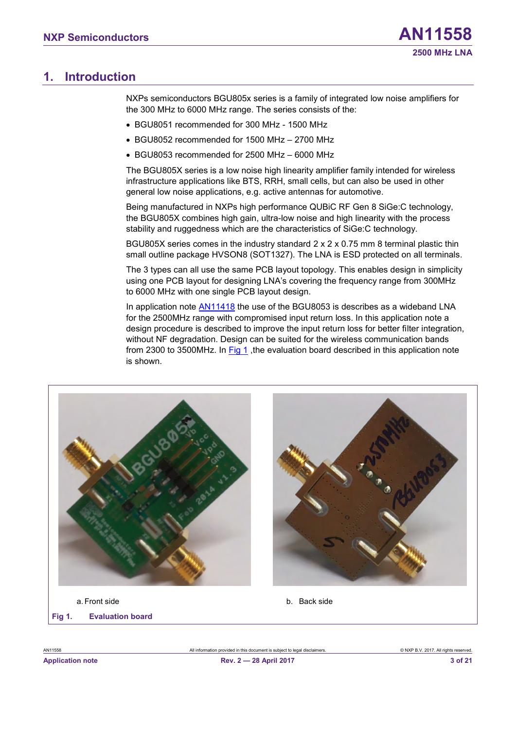# <span id="page-2-2"></span>**1. Introduction**

NXPs semiconductors BGU805x series is a family of integrated low noise amplifiers for the 300 MHz to 6000 MHz range. The series consists of the:

- BGU8051 recommended for 300 MHz 1500 MHz
- BGU8052 recommended for 1500 MHz 2700 MHz
- BGU8053 recommended for 2500 MHz 6000 MHz

The BGU805X series is a low noise high linearity amplifier family intended for wireless infrastructure applications like BTS, RRH, small cells, but can also be used in other general low noise applications, e.g. active antennas for automotive.

Being manufactured in NXPs high performance QUBiC RF Gen 8 SiGe:C technology, the BGU805X combines high gain, ultra-low noise and high linearity with the process stability and ruggedness which are the characteristics of SiGe:C technology.

BGU805X series comes in the industry standard 2 x 2 x 0.75 mm 8 terminal plastic thin small outline package HVSON8 (SOT1327). The LNA is ESD protected on all terminals.

The 3 types can all use the same PCB layout topology. This enables design in simplicity using one PCB layout for designing LNA's covering the frequency range from 300MHz to 6000 MHz with one single PCB layout design.

In application note [AN11418](http://www.nxp.com/documents/application_note/AN11418.pdf) the use of the BGU8053 is describes as a wideband LNA for the 2500MHz range with compromised input return loss. In this application note a design procedure is described to improve the input return loss for better filter integration, without NF degradation. Design can be suited for the wireless communication bands from 2300 to 3500MHz. In  $Fig 1$ , the evaluation board described in this application note is shown.

<span id="page-2-1"></span><span id="page-2-0"></span>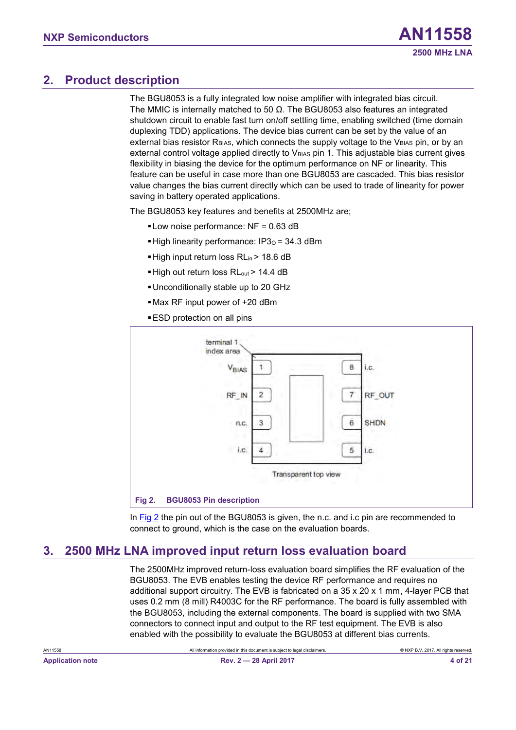# <span id="page-3-2"></span>**2. Product description**

The BGU8053 is a fully integrated low noise amplifier with integrated bias circuit. The MMIC is internally matched to 50  $\Omega$ . The BGU8053 also features an integrated shutdown circuit to enable fast turn on/off settling time, enabling switched (time domain duplexing TDD) applications. The device bias current can be set by the value of an external bias resistor  $R_{BIAS}$ , which connects the supply voltage to the  $V_{BIAS}$  pin, or by an external control voltage applied directly to  $V_{BIAS}$  pin 1. This adjustable bias current gives flexibility in biasing the device for the optimum performance on NF or linearity. This feature can be useful in case more than one BGU8053 are cascaded. This bias resistor value changes the bias current directly which can be used to trade of linearity for power saving in battery operated applications.

The BGU8053 key features and benefits at 2500MHz are;

- $\blacksquare$  Low noise performance: NF = 0.63 dB
- $\blacktriangleright$  High linearity performance: IP3 $o = 34.3$  dBm
- High input return loss RL<sub>in</sub> > 18.6 dB
- High out return loss RL<sub>out</sub> > 14.4 dB
- ▪Unconditionally stable up to 20 GHz
- ▪Max RF input power of +20 dBm
- **ESD** protection on all pins



<span id="page-3-1"></span><span id="page-3-0"></span>In [Fig 2](#page-3-0) the pin out of the BGU8053 is given, the n.c. and i.c pin are recommended to connect to ground, which is the case on the evaluation boards.

# <span id="page-3-3"></span>**3. 2500 MHz LNA improved input return loss evaluation board**

The 2500MHz improved return-loss evaluation board simplifies the RF evaluation of the BGU8053. The EVB enables testing the device RF performance and requires no additional support circuitry. The EVB is fabricated on a  $35 \times 20 \times 1$  mm, 4-layer PCB that uses 0.2 mm (8 mill) R4003C for the RF performance. The board is fully assembled with the BGU8053, including the external components. The board is supplied with two SMA connectors to connect input and output to the RF test equipment. The EVB is also enabled with the possibility to evaluate the BGU8053 at different bias currents.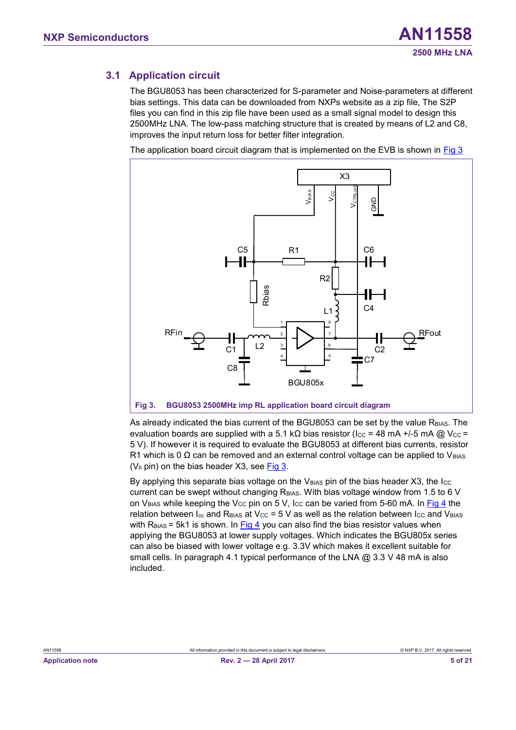### <span id="page-4-2"></span>**3.1 Application circuit**

The BGU8053 has been characterized for S-parameter and Noise-parameters at different bias settings. This data can be downloaded from NXPs website as a zip file, The S2P files you can find in this zip file have been used as a small signal model to design this 2500MHz LNA. The low-pass matching structure that is created by means of L2 and C8, improves the input return loss for better filter integration.

The application board circuit diagram that is implemented on the EVB is shown in [Fig 3](#page-4-0)



<span id="page-4-1"></span><span id="page-4-0"></span>As already indicated the bias current of the BGU8053 can be set by the value R<sub>BIAS</sub>. The evaluation boards are supplied with a 5.1 kΩ bias resistor (Icc = 48 mA +/-5 mA @ Vcc = 5 V). If however it is required to evaluate the BGU8053 at different bias currents, resistor R1 which is 0  $\Omega$  can be removed and an external control voltage can be applied to V<sub>BIAS</sub> ( $V<sub>b</sub>$  pin) on the bias header X3, see [Fig 3.](#page-4-0)

By applying this separate bias voltage on the  $V_{\text{BAS}}$  pin of the bias header X3, the  $I_{\text{CC}}$ current can be swept without changing  $R<sub>BIAS</sub>$ . With bias voltage window from 1.5 to 6 V on V<sub>BIAS</sub> while keeping the V<sub>CC</sub> pin on 5 V, I<sub>CC</sub> can be varied from 5-60 mA. In [Fig 4](#page-5-0) the relation between  $I_{cc}$  and R<sub>BIAS</sub> at V<sub>CC</sub> = 5 V as well as the relation between  $I_{cc}$  and V<sub>BIAS</sub> with  $R<sub>BIAS</sub> = 5k1$  is shown. In [Fig 4](#page-5-0) you can also find the bias resistor values when applying the BGU8053 at lower supply voltages. Which indicates the BGU805x series can also be biased with lower voltage e.g. 3.3V which makes it excellent suitable for small cells. In paragraph 4.1 typical performance of the LNA  $\omega$  3.3 V 48 mA is also included.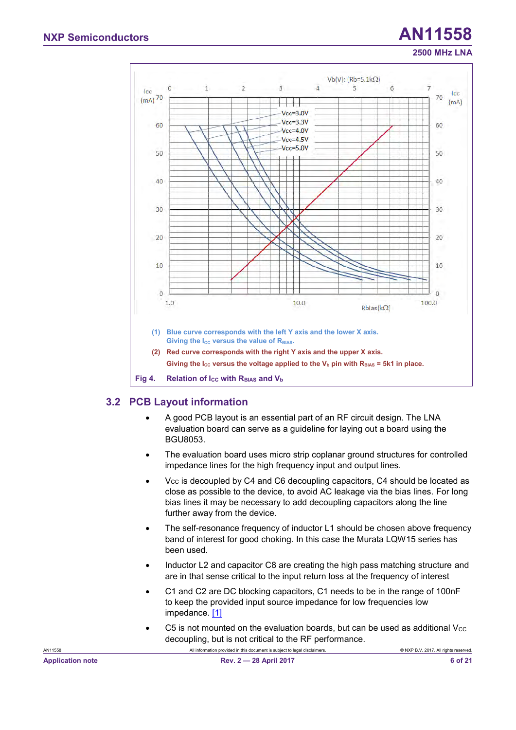

#### <span id="page-5-2"></span><span id="page-5-1"></span><span id="page-5-0"></span>**3.2 PCB Layout information**

- A good PCB layout is an essential part of an RF circuit design. The LNA evaluation board can serve as a guideline for laying out a board using the BGU8053.
- The evaluation board uses micro strip coplanar ground structures for controlled impedance lines for the high frequency input and output lines.
- $V_{CC}$  is decoupled by C4 and C6 decoupling capacitors, C4 should be located as close as possible to the device, to avoid AC leakage via the bias lines. For long bias lines it may be necessary to add decoupling capacitors along the line further away from the device.
- The self-resonance frequency of inductor L1 should be chosen above frequency band of interest for good choking. In this case the Murata LQW15 series has been used.
- Inductor L2 and capacitor C8 are creating the high pass matching structure and are in that sense critical to the input return loss at the frequency of interest
- C1 and C2 are DC blocking capacitors, C1 needs to be in the range of 100nF to keep the provided input source impedance for low frequencies low impedance. [\[1\]](#page-16-0)
- C5 is not mounted on the evaluation boards, but can be used as additional  $V_{\text{CC}}$ decoupling, but is not critical to the RF performance.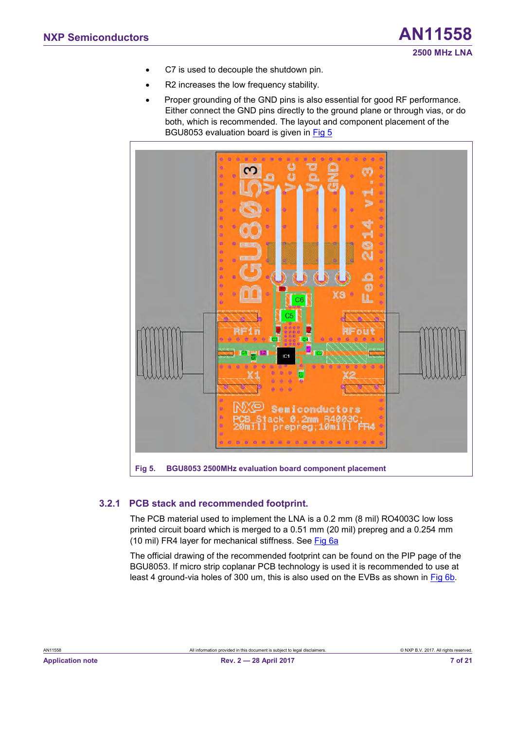- C7 is used to decouple the shutdown pin.
- R2 increases the low frequency stability.
- Proper grounding of the GND pins is also essential for good RF performance. Either connect the GND pins directly to the ground plane or through vias, or do both, which is recommended. The layout and component placement of the BGU8053 evaluation board is given in [Fig 5](#page-6-0)



#### <span id="page-6-2"></span><span id="page-6-1"></span><span id="page-6-0"></span>**3.2.1 PCB stack and recommended footprint.**

The PCB material used to implement the LNA is a 0.2 mm (8 mil) RO4003C low loss printed circuit board which is merged to a 0.51 mm (20 mil) prepreg and a 0.254 mm (10 mil) FR4 layer for mechanical stiffness. See [Fig 6a](#page-7-0)

The official drawing of the recommended footprint can be found on the PIP page of the BGU8053. If micro strip coplanar PCB technology is used it is recommended to use at least 4 ground-via holes of 300 um, this is also used on the EVBs as shown in [Fig 6b.](#page-7-0)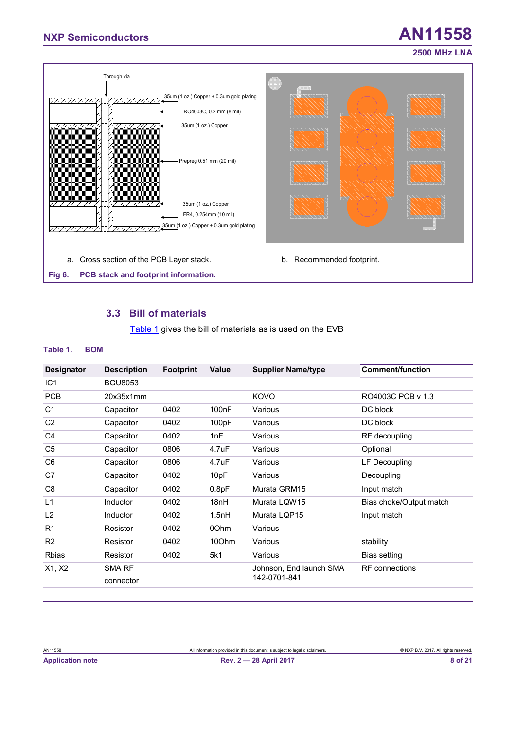# **NXP Semiconductors AN11558**



#### <span id="page-7-4"></span><span id="page-7-3"></span><span id="page-7-2"></span><span id="page-7-1"></span><span id="page-7-0"></span>**3.3 Bill of materials**

[Table 1](#page-7-1) gives the bill of materials as is used on the EVB

#### **Table 1. BOM**

| <b>Designator</b> | <b>Description</b> | <b>Footprint</b> | Value              | <b>Supplier Name/type</b> | <b>Comment/function</b> |  |
|-------------------|--------------------|------------------|--------------------|---------------------------|-------------------------|--|
| IC <sub>1</sub>   | <b>BGU8053</b>     |                  |                    |                           |                         |  |
| <b>PCB</b>        | 20x35x1mm          |                  |                    | KOVO                      | RO4003C PCB v 1.3       |  |
| C1                | Capacitor          | 0402             | 100 <sub>n</sub> F | Various                   | DC block                |  |
| C <sub>2</sub>    | Capacitor          | 0402             | 100pF              | Various                   | DC block                |  |
| C <sub>4</sub>    | Capacitor          | 0402             | 1nF                | Various                   | RF decoupling           |  |
| C <sub>5</sub>    | Capacitor          | 0806             | 4.7uF              | Various                   | Optional                |  |
| C <sub>6</sub>    | Capacitor          | 0806             | 4.7uF              | Various                   | LF Decoupling           |  |
| C7                | Capacitor          | 0402             | 10pF               | Various                   | Decoupling              |  |
| C <sub>8</sub>    | Capacitor          | 0402             | 0.8pF              | Murata GRM15              | Input match             |  |
| L1                | Inductor           | 0402             | 18nH               | Murata LQW15              | Bias choke/Output match |  |
| L2                | Inductor           | 0402             | 1.5nH              | Murata LQP15              | Input match             |  |
| R1                | Resistor           | 0402             | 00hm               | Various                   |                         |  |
| R <sub>2</sub>    | Resistor           | 0402             | 100hm              | Various                   | stability               |  |
| <b>Rbias</b>      | Resistor           | 0402             | 5k1                | Various                   | <b>Bias setting</b>     |  |
| X1, X2            | SMA RF             |                  |                    | Johnson, End launch SMA   | <b>RF</b> connections   |  |
|                   | connector          |                  |                    | 142-0701-841              |                         |  |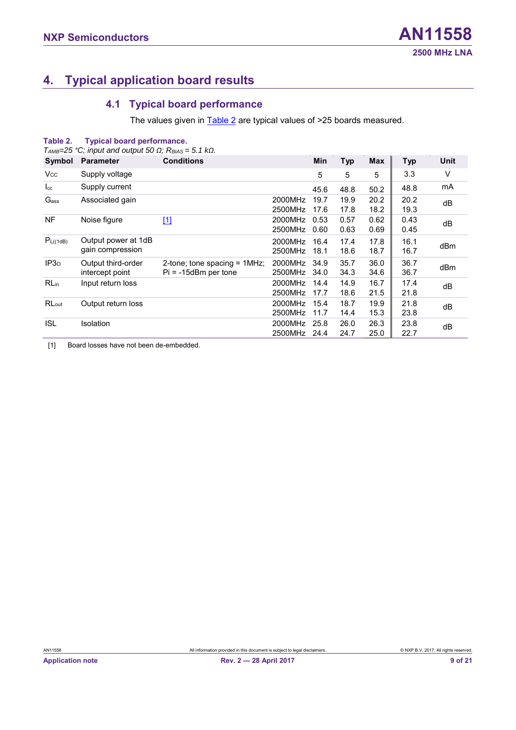# <span id="page-8-3"></span>**4. Typical application board results**

### <span id="page-8-4"></span><span id="page-8-2"></span><span id="page-8-0"></span>**4.1 Typical board performance**

The values given in **Table 2** are typical values of >25 boards measured.

| Table 2.             | <b>Typical board performance.</b>                                                    |                                                           |                    |              |              |              |              |      |
|----------------------|--------------------------------------------------------------------------------------|-----------------------------------------------------------|--------------------|--------------|--------------|--------------|--------------|------|
|                      | $T_{AMB}=25$ °C; input and output 50 $\Omega$ ; R <sub>BIAS</sub> = 5.1 k $\Omega$ . |                                                           |                    |              |              |              |              |      |
| Symbol               | <b>Parameter</b>                                                                     | <b>Conditions</b>                                         |                    | Min          | <b>Typ</b>   | <b>Max</b>   | <b>Typ</b>   | Unit |
| <b>Vcc</b>           | Supply voltage                                                                       |                                                           |                    | 5            | 5            | 5            | 3.3          | V    |
| $I_{\rm cc}$         | Supply current                                                                       |                                                           |                    | 45.6         | 48.8         | 50.2         | 48.8         | mA   |
| Gass                 | Associated gain                                                                      |                                                           | 2000MHz<br>2500MHz | 19.7<br>17.6 | 19.9<br>17.8 | 20.2<br>18.2 | 20.2<br>19.3 | dB   |
| <b>NF</b>            | Noise figure                                                                         | $\boxed{1}$                                               | 2000MHz<br>2500MHz | 0.53<br>0.60 | 0.57<br>0.63 | 0.62<br>0.69 | 0.43<br>0.45 | dВ   |
| P <sub>L((1dB)</sub> | Output power at 1dB<br>gain compression                                              |                                                           | 2000MHz<br>2500MHz | 16.4<br>18.1 | 17.4<br>18.6 | 17.8<br>18.7 | 16.1<br>16.7 | dBm  |
| IP3 <sub>0</sub>     | Output third-order<br>intercept point                                                | 2-tone; tone spacing = $1MHz$ ;<br>$Pi = -15dBm$ per tone | 2000MHz<br>2500MHz | 34.9<br>34.0 | 35.7<br>34.3 | 36.0<br>34.6 | 36.7<br>36.7 | dBm  |
| RL <sub>in</sub>     | Input return loss                                                                    |                                                           | 2000MHz<br>2500MHz | 14.4<br>17.7 | 14.9<br>18.6 | 16.7<br>21.5 | 17.4<br>21.8 | dВ   |
| RLout                | Output return loss                                                                   |                                                           | 2000MHz<br>2500MHz | 15.4<br>11.7 | 18.7<br>14.4 | 19.9<br>15.3 | 21.8<br>23.8 | dВ   |
| <b>ISL</b>           | Isolation                                                                            |                                                           | 2000MHz<br>2500MHz | 25.8<br>24.4 | 26.0<br>24.7 | 26.3<br>25.0 | 23.8<br>22.7 | dВ   |

<span id="page-8-1"></span>[1] Board losses have not been de-embedded.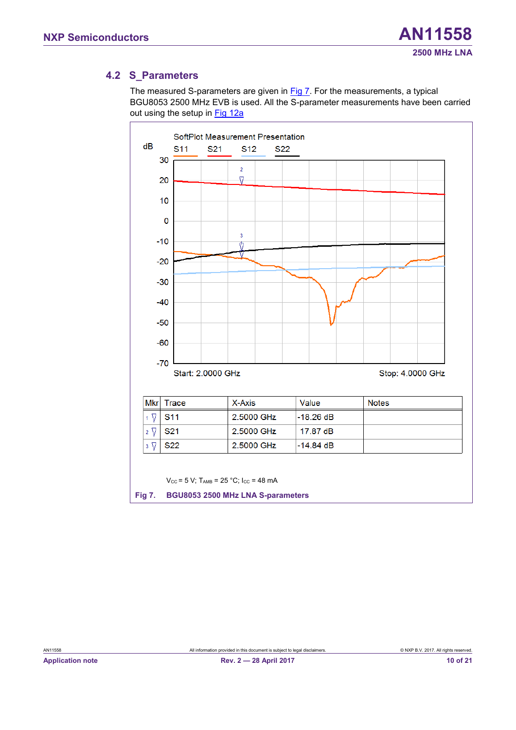### <span id="page-9-2"></span>**4.2 S\_Parameters**

The measured S-parameters are given in [Fig 7.](#page-9-0) For the measurements, a typical BGU8053 2500 MHz EVB is used. All the S-parameter measurements have been carried out using the setup in [Fig 12a](#page-15-0)

<span id="page-9-1"></span><span id="page-9-0"></span>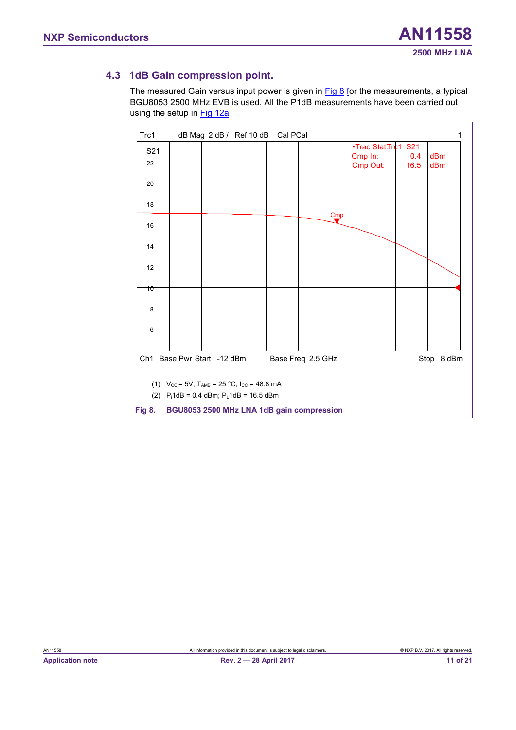### <span id="page-10-2"></span>**4.3 1dB Gain compression point.**

<span id="page-10-1"></span><span id="page-10-0"></span>

| Trc1            |                            | dB Mag 2 dB / Ref 10 dB | Cal PCal |                   |                |                     |             |            |
|-----------------|----------------------------|-------------------------|----------|-------------------|----------------|---------------------|-------------|------------|
| S <sub>21</sub> |                            |                         |          |                   |                | •Trac Stat:Tr¢1 S21 |             |            |
| 22              |                            |                         |          |                   |                | Cmp In:<br>Cmp Out: | 0.4<br>16.5 | dBm<br>dBm |
|                 |                            |                         |          |                   |                |                     |             |            |
| $20 -$          |                            |                         |          |                   |                |                     |             |            |
| 18              |                            |                         |          |                   |                |                     |             |            |
|                 |                            |                         |          |                   | $\mathbf{Cmp}$ |                     |             |            |
| 16              |                            |                         |          |                   |                |                     |             |            |
|                 |                            |                         |          |                   |                |                     |             |            |
| 14              |                            |                         |          |                   |                |                     |             |            |
| 12              |                            |                         |          |                   |                |                     |             |            |
|                 |                            |                         |          |                   |                |                     |             |            |
| 10              |                            |                         |          |                   |                |                     |             |            |
|                 |                            |                         |          |                   |                |                     |             |            |
| ಕಿ              |                            |                         |          |                   |                |                     |             |            |
| ᢠ               |                            |                         |          |                   |                |                     |             |            |
|                 |                            |                         |          |                   |                |                     |             |            |
|                 |                            |                         |          |                   |                |                     |             |            |
|                 | Ch1 Base Pwr Start -12 dBm |                         |          | Base Freq 2.5 GHz |                |                     |             | Stop 8 dBm |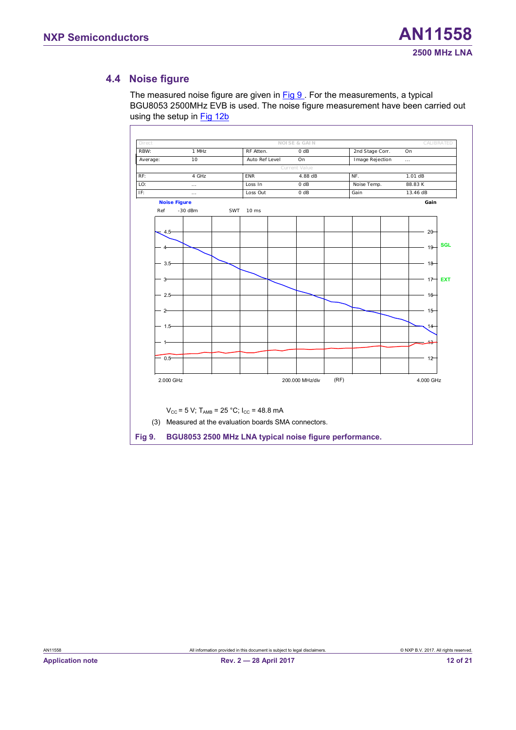#### <span id="page-11-2"></span>**4.4 Noise figure**

The measured noise figure are given in [Fig 9](#page-11-0). For the measurements, a typical BGU8053 2500MHz EVB is used. The noise figure measurement have been carried out using the setup in **Fig 12b** 

<span id="page-11-1"></span><span id="page-11-0"></span>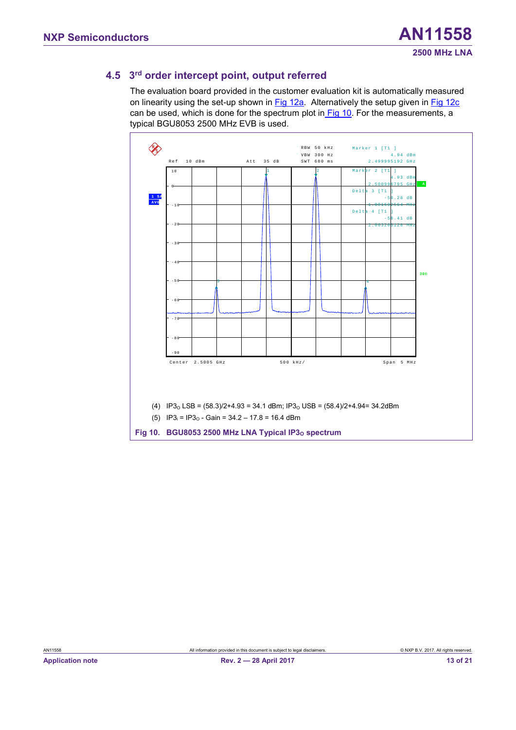### <span id="page-12-2"></span>**4.5 3 rd order intercept point, output referred**

The evaluation board provided in the customer evaluation kit is automatically measured on linearity using the set-up shown in [Fig 12a.](#page-15-0) Alternatively the setup given in [Fig 12c](#page-15-0) can be used, which is done for the spectrum plot in [Fig 10.](#page-12-0) For the measurements, a typical BGU8053 2500 MHz EVB is used.

<span id="page-12-1"></span><span id="page-12-0"></span>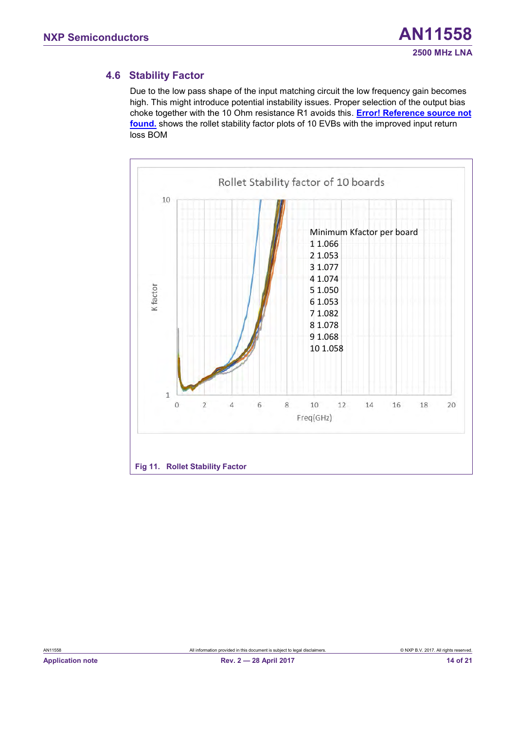#### <span id="page-13-1"></span>**4.6 Stability Factor**

Due to the low pass shape of the input matching circuit the low frequency gain becomes high. This might introduce potential instability issues. Proper selection of the output bias choke together with the 10 Ohm resistance R1 avoids this. **Error! Reference source not found.** shows the rollet stability factor plots of 10 EVBs with the improved input return loss BOM

<span id="page-13-0"></span>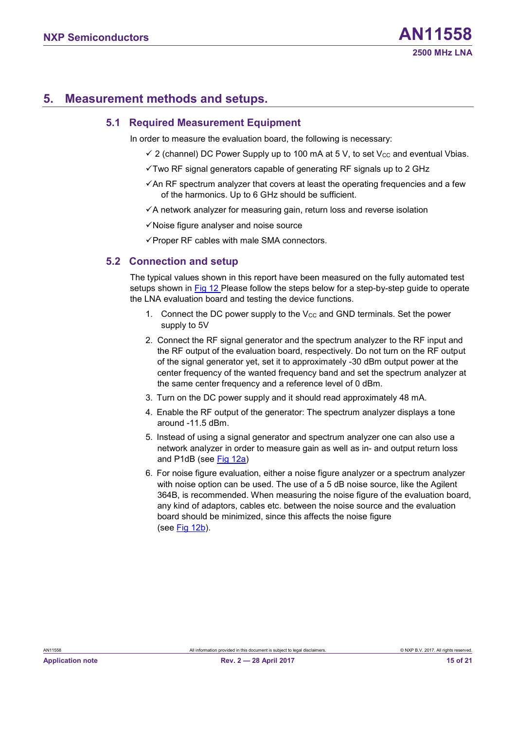# <span id="page-14-0"></span>**5. Measurement methods and setups.**

#### <span id="page-14-1"></span>**5.1 Required Measurement Equipment**

In order to measure the evaluation board, the following is necessary:

- $\checkmark$  2 (channel) DC Power Supply up to 100 mA at 5 V, to set V<sub>cc</sub> and eventual Vbias.
- ✓Two RF signal generators capable of generating RF signals up to 2 GHz
- ✓An RF spectrum analyzer that covers at least the operating frequencies and a few of the harmonics. Up to 6 GHz should be sufficient.
- <span id="page-14-2"></span> $\checkmark$ A network analyzer for measuring gain, return loss and reverse isolation
- ✓Noise figure analyser and noise source
- ✓Proper RF cables with male SMA connectors.

#### **5.2 Connection and setup**

The typical values shown in this report have been measured on the fully automated test setups shown in [Fig 12](#page-15-0) Please follow the steps below for a step-by-step guide to operate the LNA evaluation board and testing the device functions.

- 1. Connect the DC power supply to the  $V_{CC}$  and GND terminals. Set the power supply to 5V
- 2. Connect the RF signal generator and the spectrum analyzer to the RF input and the RF output of the evaluation board, respectively. Do not turn on the RF output of the signal generator yet, set it to approximately -30 dBm output power at the center frequency of the wanted frequency band and set the spectrum analyzer at the same center frequency and a reference level of 0 dBm.
- 3. Turn on the DC power supply and it should read approximately 48 mA.
- 4. Enable the RF output of the generator: The spectrum analyzer displays a tone around -11.5 dBm.
- 5. Instead of using a signal generator and spectrum analyzer one can also use a network analyzer in order to measure gain as well as in- and output return loss and P1dB (see [Fig 12a\)](#page-15-0)
- 6. For noise figure evaluation, either a noise figure analyzer or a spectrum analyzer with noise option can be used. The use of a 5 dB noise source, like the Agilent 364B, is recommended. When measuring the noise figure of the evaluation board, any kind of adaptors, cables etc. between the noise source and the evaluation board should be minimized, since this affects the noise figure (see [Fig 12b\)](#page-15-0).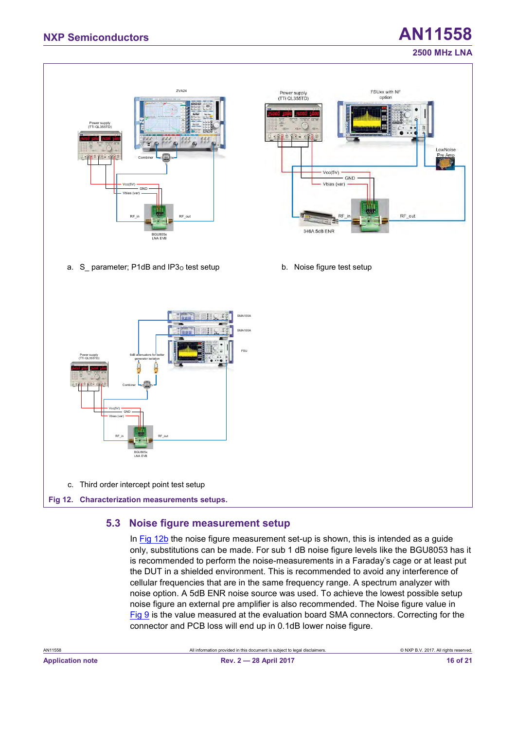#### **2500 MHz LNA**



#### <span id="page-15-2"></span><span id="page-15-1"></span><span id="page-15-0"></span>**5.3 Noise figure measurement setup**

In [Fig 12b](#page-15-0) the noise figure measurement set-up is shown, this is intended as a guide only, substitutions can be made. For sub 1 dB noise figure levels like the BGU8053 has it is recommended to perform the noise-measurements in a Faraday's cage or at least put the DUT in a shielded environment. This is recommended to avoid any interference of cellular frequencies that are in the same frequency range. A spectrum analyzer with noise option. A 5dB ENR noise source was used. To achieve the lowest possible setup noise figure an external pre amplifier is also recommended. The Noise figure value in [Fig 9](#page-11-0) is the value measured at the evaluation board SMA connectors. Correcting for the connector and PCB loss will end up in 0.1dB lower noise figure.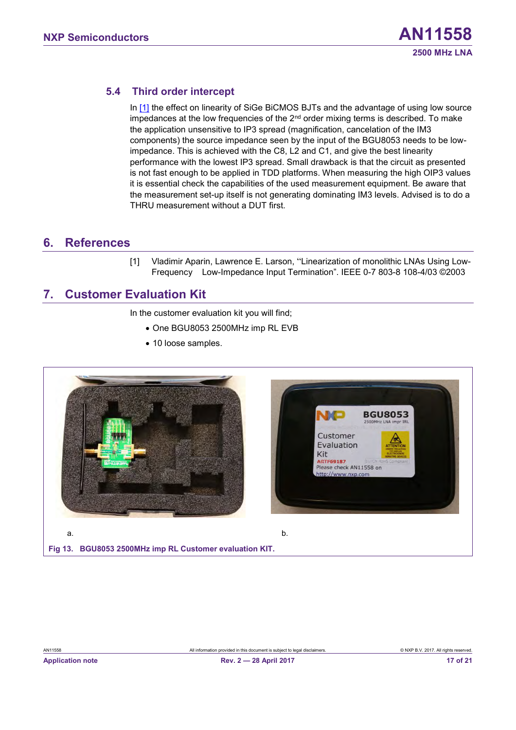#### <span id="page-16-2"></span>**5.4 Third order intercept**

In [\[1\]](#page-16-0) the effect on linearity of SiGe BiCMOS BJTs and the advantage of using low source impedances at the low frequencies of the  $2<sup>nd</sup>$  order mixing terms is described. To make the application unsensitive to IP3 spread (magnification, cancelation of the IM3 components) the source impedance seen by the input of the BGU8053 needs to be lowimpedance. This is achieved with the C8, L2 and C1, and give the best linearity performance with the lowest IP3 spread. Small drawback is that the circuit as presented is not fast enough to be applied in TDD platforms. When measuring the high OIP3 values it is essential check the capabilities of the used measurement equipment. Be aware that the measurement set-up itself is not generating dominating IM3 levels. Advised is to do a THRU measurement without a DUT first.

### <span id="page-16-4"></span><span id="page-16-3"></span>**6. References**

<span id="page-16-0"></span>[1] Vladimir Aparin, Lawrence E. Larson, "Linearization of monolithic LNAs Using Low-Frequency Low-Impedance Input Termination". IEEE 0-7 803-8 108-4/03 ©2003

# **7. Customer Evaluation Kit**

In the customer evaluation kit you will find;

- One BGU8053 2500MHz imp RL EVB
- 10 loose samples.

<span id="page-16-1"></span>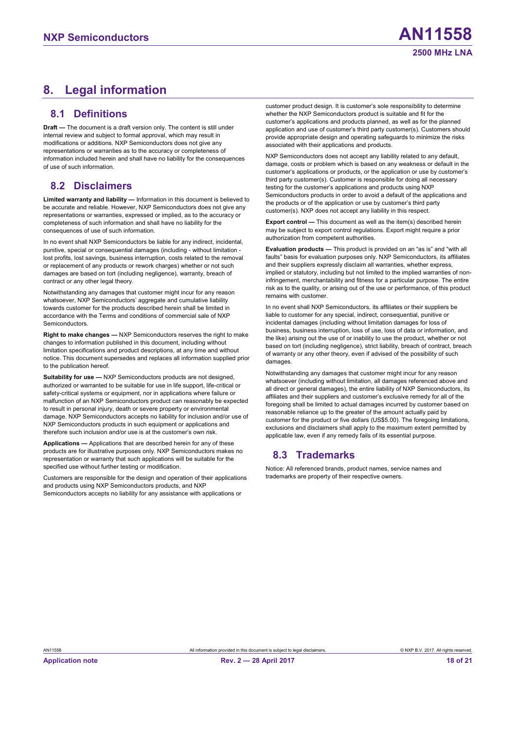# <span id="page-17-1"></span><span id="page-17-0"></span>**8. Legal information**

#### **8.1 Definitions**

<span id="page-17-2"></span>**Draft —** The document is a draft version only. The content is still under internal review and subject to formal approval, which may result in modifications or additions. NXP Semiconductors does not give any representations or warranties as to the accuracy or completeness of information included herein and shall have no liability for the consequences of use of such information.

#### **8.2 Disclaimers**

**Limited warranty and liability —** Information in this document is believed to be accurate and reliable. However, NXP Semiconductors does not give any representations or warranties, expressed or implied, as to the accuracy or completeness of such information and shall have no liability for the consequences of use of such information.

In no event shall NXP Semiconductors be liable for any indirect, incidental, punitive, special or consequential damages (including - without limitation lost profits, lost savings, business interruption, costs related to the removal or replacement of any products or rework charges) whether or not such damages are based on tort (including negligence), warranty, breach of contract or any other legal theory.

Notwithstanding any damages that customer might incur for any reason whatsoever, NXP Semiconductors' aggregate and cumulative liability towards customer for the products described herein shall be limited in accordance with the Terms and conditions of commercial sale of NXP **Semiconductors** 

**Right to make changes —** NXP Semiconductors reserves the right to make changes to information published in this document, including without limitation specifications and product descriptions, at any time and without notice. This document supersedes and replaces all information supplied prior to the publication hereof.

**Suitability for use - NXP Semiconductors products are not designed,** authorized or warranted to be suitable for use in life support, life-critical or safety-critical systems or equipment, nor in applications where failure or malfunction of an NXP Semiconductors product can reasonably be expected to result in personal injury, death or severe property or environmental damage. NXP Semiconductors accepts no liability for inclusion and/or use of NXP Semiconductors products in such equipment or applications and therefore such inclusion and/or use is at the customer's own risk.

**Applications —** Applications that are described herein for any of these products are for illustrative purposes only. NXP Semiconductors makes no representation or warranty that such applications will be suitable for the specified use without further testing or modification.

Customers are responsible for the design and operation of their applications and products using NXP Semiconductors products, and NXP Semiconductors accepts no liability for any assistance with applications or

customer product design. It is customer's sole responsibility to determine whether the NXP Semiconductors product is suitable and fit for the customer's applications and products planned, as well as for the planned application and use of customer's third party customer(s). Customers should provide appropriate design and operating safeguards to minimize the risks associated with their applications and products.

NXP Semiconductors does not accept any liability related to any default, damage, costs or problem which is based on any weakness or default in the customer's applications or products, or the application or use by customer's third party customer(s). Customer is responsible for doing all necessary testing for the customer's applications and products using NXP Semiconductors products in order to avoid a default of the applications and the products or of the application or use by customer's third party customer(s). NXP does not accept any liability in this respect.

**Export control —** This document as well as the item(s) described herein may be subject to export control regulations. Export might require a prior authorization from competent authorities.

**Evaluation products —** This product is provided on an "as is" and "with all faults" basis for evaluation purposes only. NXP Semiconductors, its affiliates and their suppliers expressly disclaim all warranties, whether express, implied or statutory, including but not limited to the implied warranties of noninfringement, merchantability and fitness for a particular purpose. The entire risk as to the quality, or arising out of the use or performance, of this product remains with customer.

In no event shall NXP Semiconductors, its affiliates or their suppliers be liable to customer for any special, indirect, consequential, punitive or incidental damages (including without limitation damages for loss of business, business interruption, loss of use, loss of data or information, and the like) arising out the use of or inability to use the product, whether or not based on tort (including negligence), strict liability, breach of contract, breach of warranty or any other theory, even if advised of the possibility of such damages.

<span id="page-17-3"></span>Notwithstanding any damages that customer might incur for any reason whatsoever (including without limitation, all damages referenced above and all direct or general damages), the entire liability of NXP Semiconductors, its affiliates and their suppliers and customer's exclusive remedy for all of the foregoing shall be limited to actual damages incurred by customer based on reasonable reliance up to the greater of the amount actually paid by customer for the product or five dollars (US\$5.00). The foregoing limitations, exclusions and disclaimers shall apply to the maximum extent permitted by applicable law, even if any remedy fails of its essential purpose.

#### **8.3 Trademarks**

Notice: All referenced brands, product names, service names and trademarks are property of their respective owners.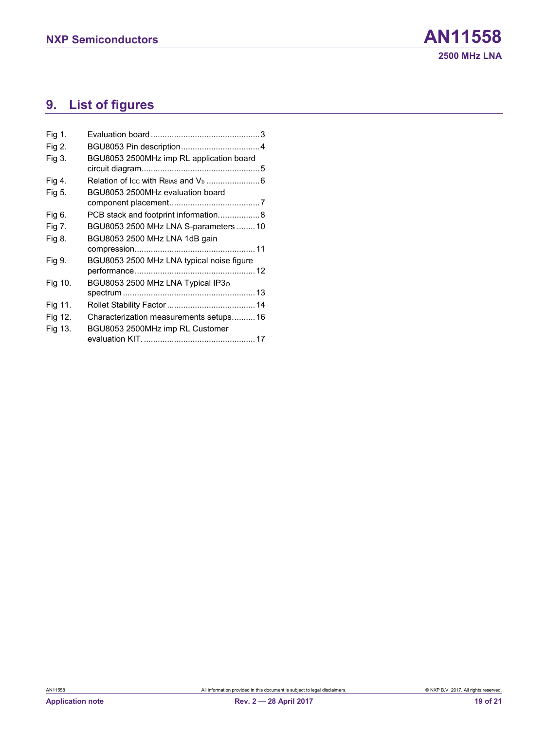# <span id="page-18-0"></span>**9. List of figures**

| Fig 1.  |                                           |
|---------|-------------------------------------------|
| Fig 2.  |                                           |
| Fig 3.  | BGU8053 2500MHz imp RL application board  |
| Fig 4.  |                                           |
| Fig 5.  | BGU8053 2500MHz evaluation board          |
|         |                                           |
| Fig 6.  | PCB stack and footprint information8      |
| Fig 7.  | BGU8053 2500 MHz LNA S-parameters  10     |
| Fig 8.  | BGU8053 2500 MHz LNA 1dB gain             |
|         |                                           |
| Fig 9.  | BGU8053 2500 MHz LNA typical noise figure |
|         |                                           |
| Fig 10. | BGU8053 2500 MHz LNA Typical IP3o         |
|         |                                           |
| Fig 11. |                                           |
| Fig 12. | Characterization measurements setups16    |
| Fig 13. | BGU8053 2500MHz imp RL Customer           |
|         |                                           |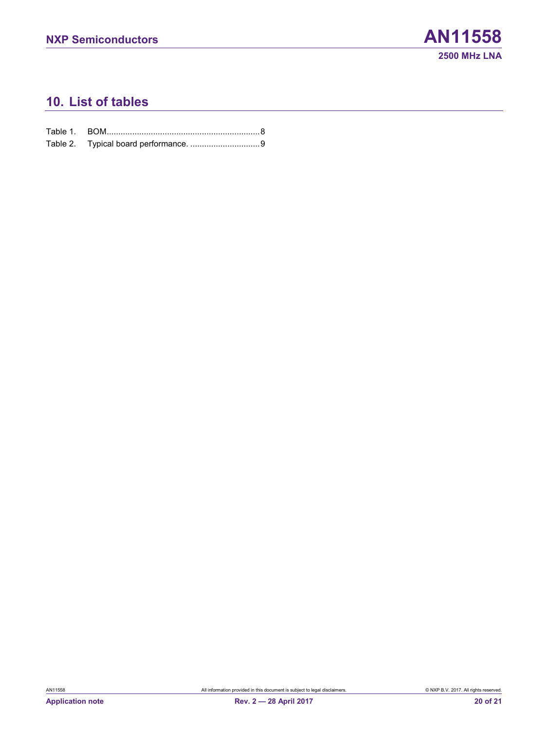# <span id="page-19-0"></span>**10. List of tables**